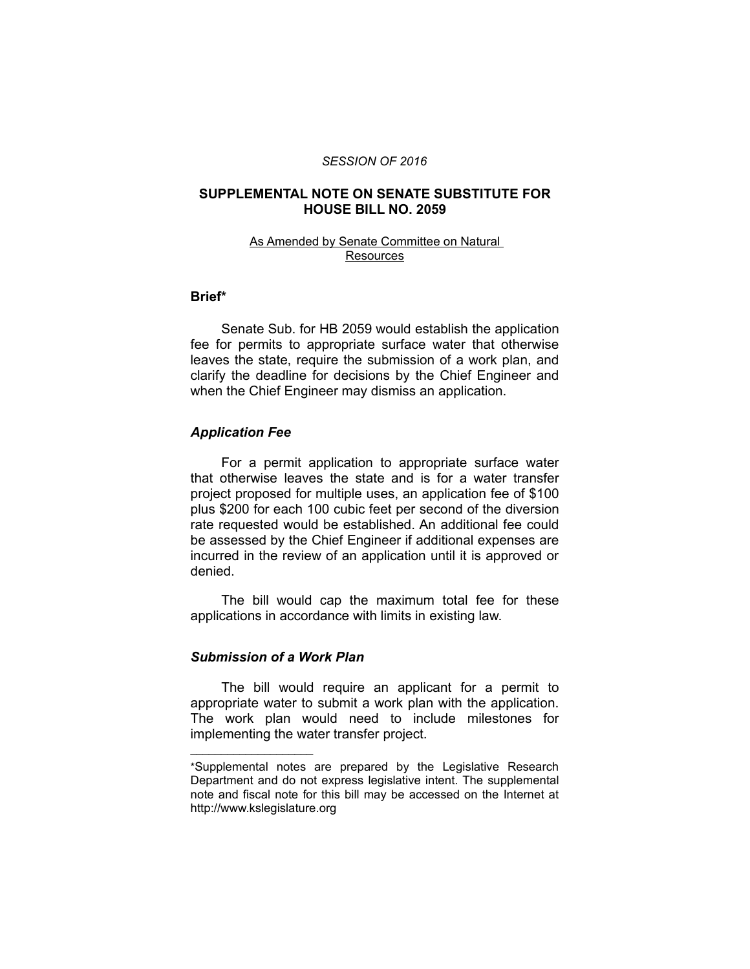#### *SESSION OF 2016*

#### **SUPPLEMENTAL NOTE ON SENATE SUBSTITUTE FOR HOUSE BILL NO. 2059**

#### As Amended by Senate Committee on Natural **Resources**

### **Brief\***

Senate Sub. for HB 2059 would establish the application fee for permits to appropriate surface water that otherwise leaves the state, require the submission of a work plan, and clarify the deadline for decisions by the Chief Engineer and when the Chief Engineer may dismiss an application.

#### *Application Fee*

For a permit application to appropriate surface water that otherwise leaves the state and is for a water transfer project proposed for multiple uses, an application fee of \$100 plus \$200 for each 100 cubic feet per second of the diversion rate requested would be established. An additional fee could be assessed by the Chief Engineer if additional expenses are incurred in the review of an application until it is approved or denied.

The bill would cap the maximum total fee for these applications in accordance with limits in existing law.

### *Submission of a Work Plan*

 $\overline{\phantom{a}}$  , where  $\overline{\phantom{a}}$  , where  $\overline{\phantom{a}}$ 

The bill would require an applicant for a permit to appropriate water to submit a work plan with the application. The work plan would need to include milestones for implementing the water transfer project.

<sup>\*</sup>Supplemental notes are prepared by the Legislative Research Department and do not express legislative intent. The supplemental note and fiscal note for this bill may be accessed on the Internet at http://www.kslegislature.org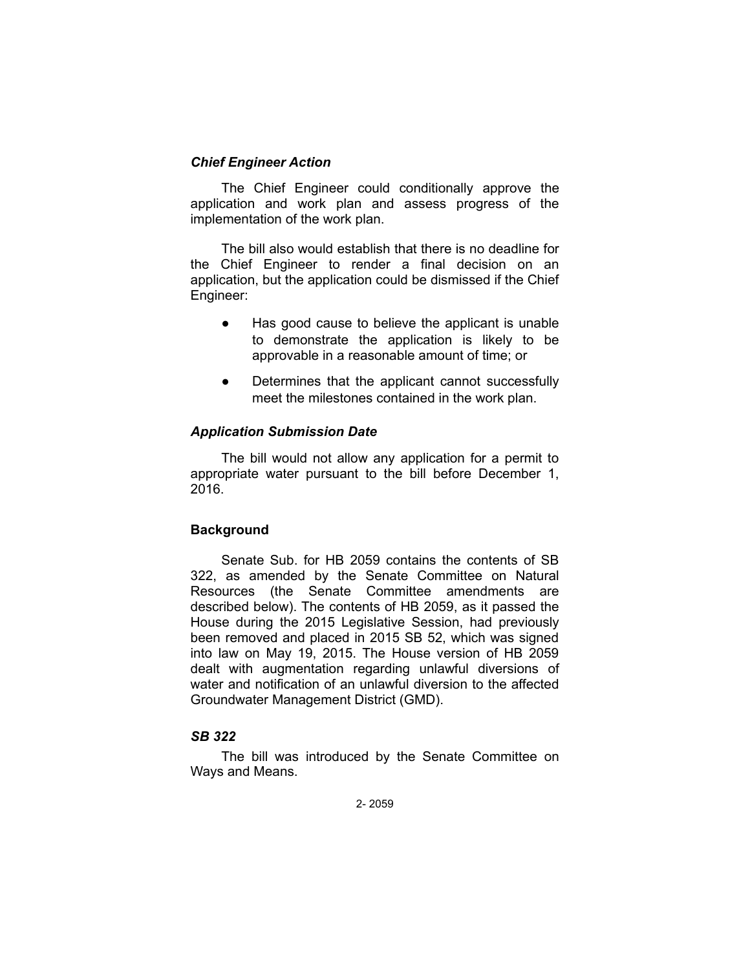### *Chief Engineer Action*

The Chief Engineer could conditionally approve the application and work plan and assess progress of the implementation of the work plan.

The bill also would establish that there is no deadline for the Chief Engineer to render a final decision on an application, but the application could be dismissed if the Chief Engineer:

- Has good cause to believe the applicant is unable to demonstrate the application is likely to be approvable in a reasonable amount of time; or
- Determines that the applicant cannot successfully meet the milestones contained in the work plan.

## *Application Submission Date*

The bill would not allow any application for a permit to appropriate water pursuant to the bill before December 1, 2016.

### **Background**

Senate Sub. for HB 2059 contains the contents of SB 322, as amended by the Senate Committee on Natural Resources (the Senate Committee amendments are described below). The contents of HB 2059, as it passed the House during the 2015 Legislative Session, had previously been removed and placed in 2015 SB 52, which was signed into law on May 19, 2015. The House version of HB 2059 dealt with augmentation regarding unlawful diversions of water and notification of an unlawful diversion to the affected Groundwater Management District (GMD).

# *SB 322*

The bill was introduced by the Senate Committee on Ways and Means.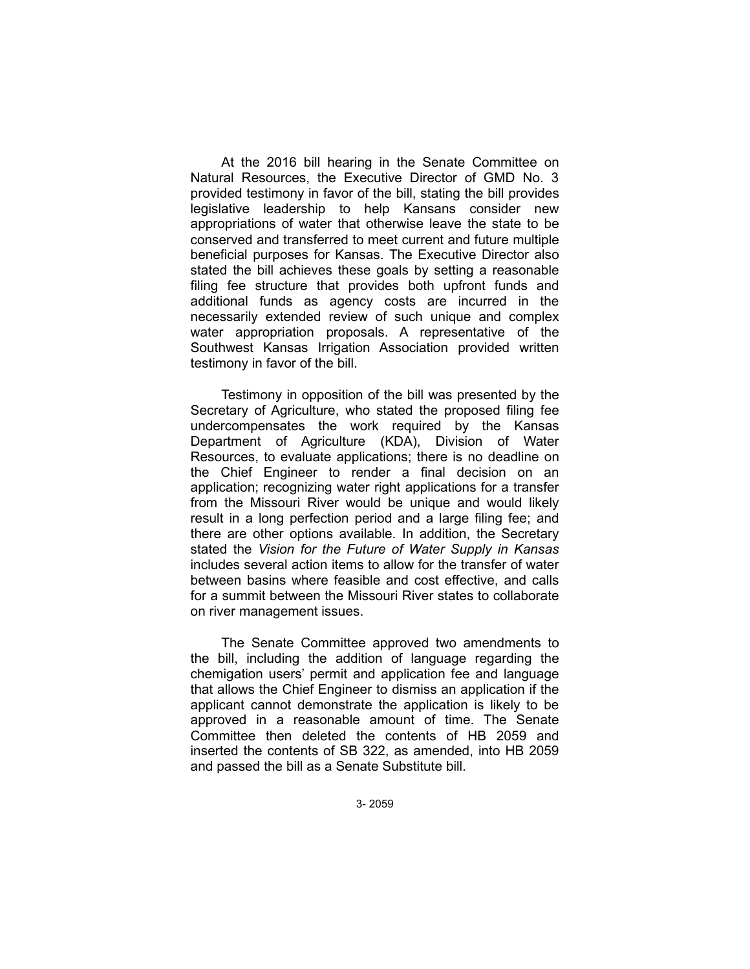At the 2016 bill hearing in the Senate Committee on Natural Resources, the Executive Director of GMD No. 3 provided testimony in favor of the bill, stating the bill provides legislative leadership to help Kansans consider new appropriations of water that otherwise leave the state to be conserved and transferred to meet current and future multiple beneficial purposes for Kansas. The Executive Director also stated the bill achieves these goals by setting a reasonable filing fee structure that provides both upfront funds and additional funds as agency costs are incurred in the necessarily extended review of such unique and complex water appropriation proposals. A representative of the Southwest Kansas Irrigation Association provided written testimony in favor of the bill.

Testimony in opposition of the bill was presented by the Secretary of Agriculture, who stated the proposed filing fee undercompensates the work required by the Kansas Department of Agriculture (KDA), Division of Water Resources, to evaluate applications; there is no deadline on the Chief Engineer to render a final decision on an application; recognizing water right applications for a transfer from the Missouri River would be unique and would likely result in a long perfection period and a large filing fee; and there are other options available. In addition, the Secretary stated the *Vision for the Future of Water Supply in Kansas* includes several action items to allow for the transfer of water between basins where feasible and cost effective, and calls for a summit between the Missouri River states to collaborate on river management issues.

The Senate Committee approved two amendments to the bill, including the addition of language regarding the chemigation users' permit and application fee and language that allows the Chief Engineer to dismiss an application if the applicant cannot demonstrate the application is likely to be approved in a reasonable amount of time. The Senate Committee then deleted the contents of HB 2059 and inserted the contents of SB 322, as amended, into HB 2059 and passed the bill as a Senate Substitute bill.